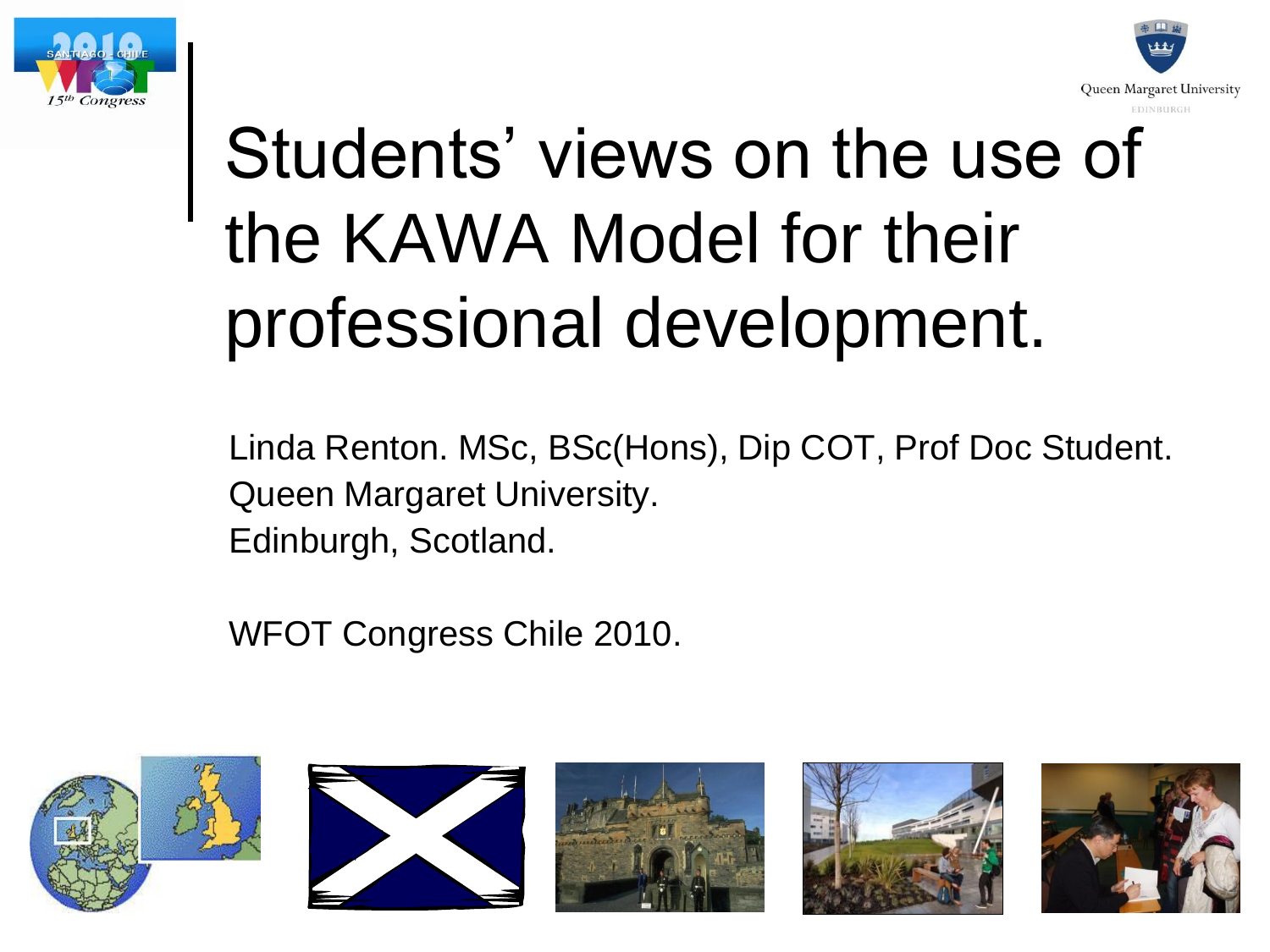



### Students' views on the use of the KAWA Model for their professional development.

Linda Renton. MSc, BSc(Hons), Dip COT, Prof Doc Student. Queen Margaret University. Edinburgh, Scotland.

WFOT Congress Chile 2010.









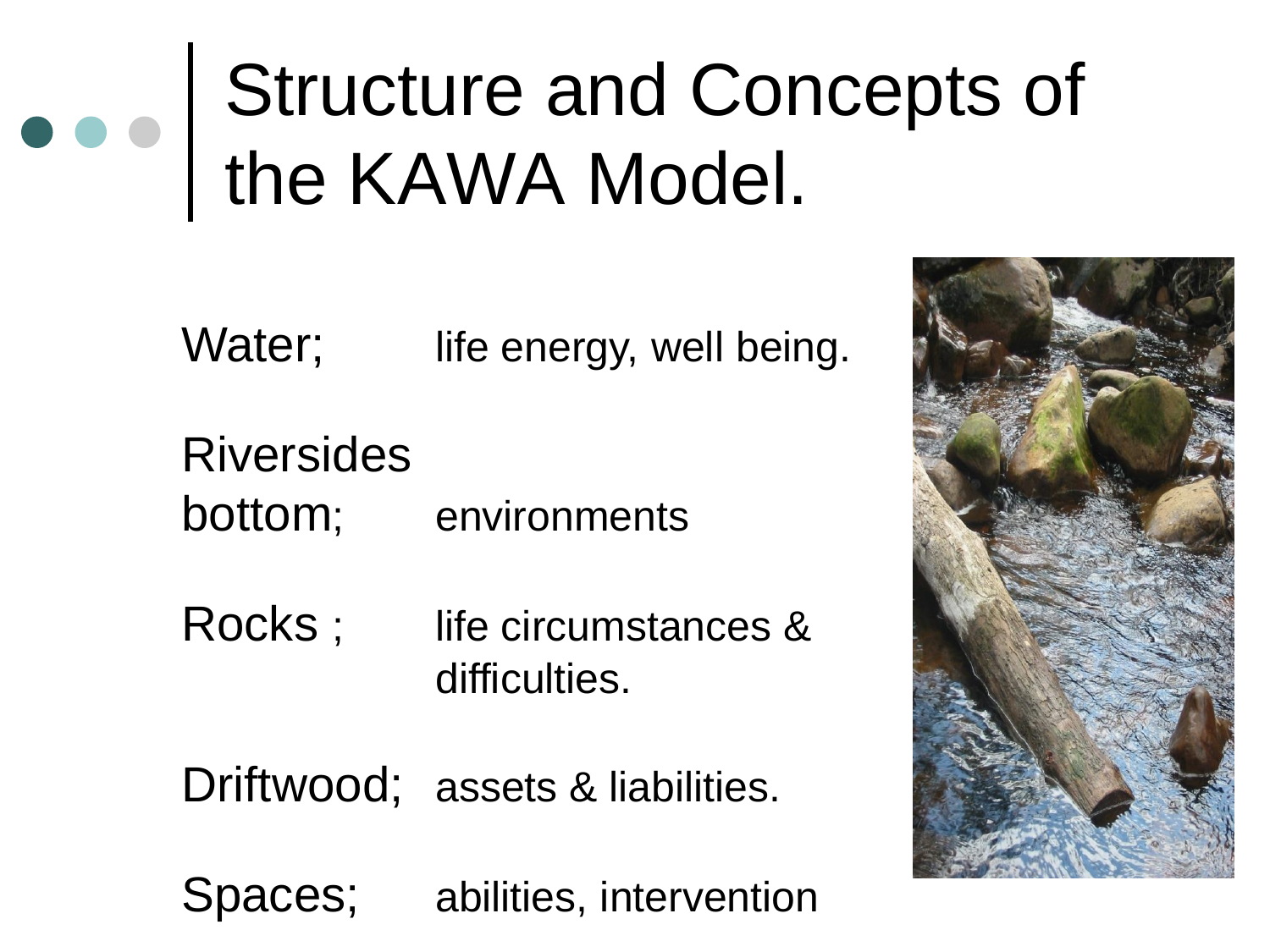## Structure and Concepts of the KAWA Model.

Water; life energy, well being.

Riversides bottom; environments

Rocks ; life circumstances & difficulties.

Driftwood; assets & liabilities.

Spaces; abilities, intervention

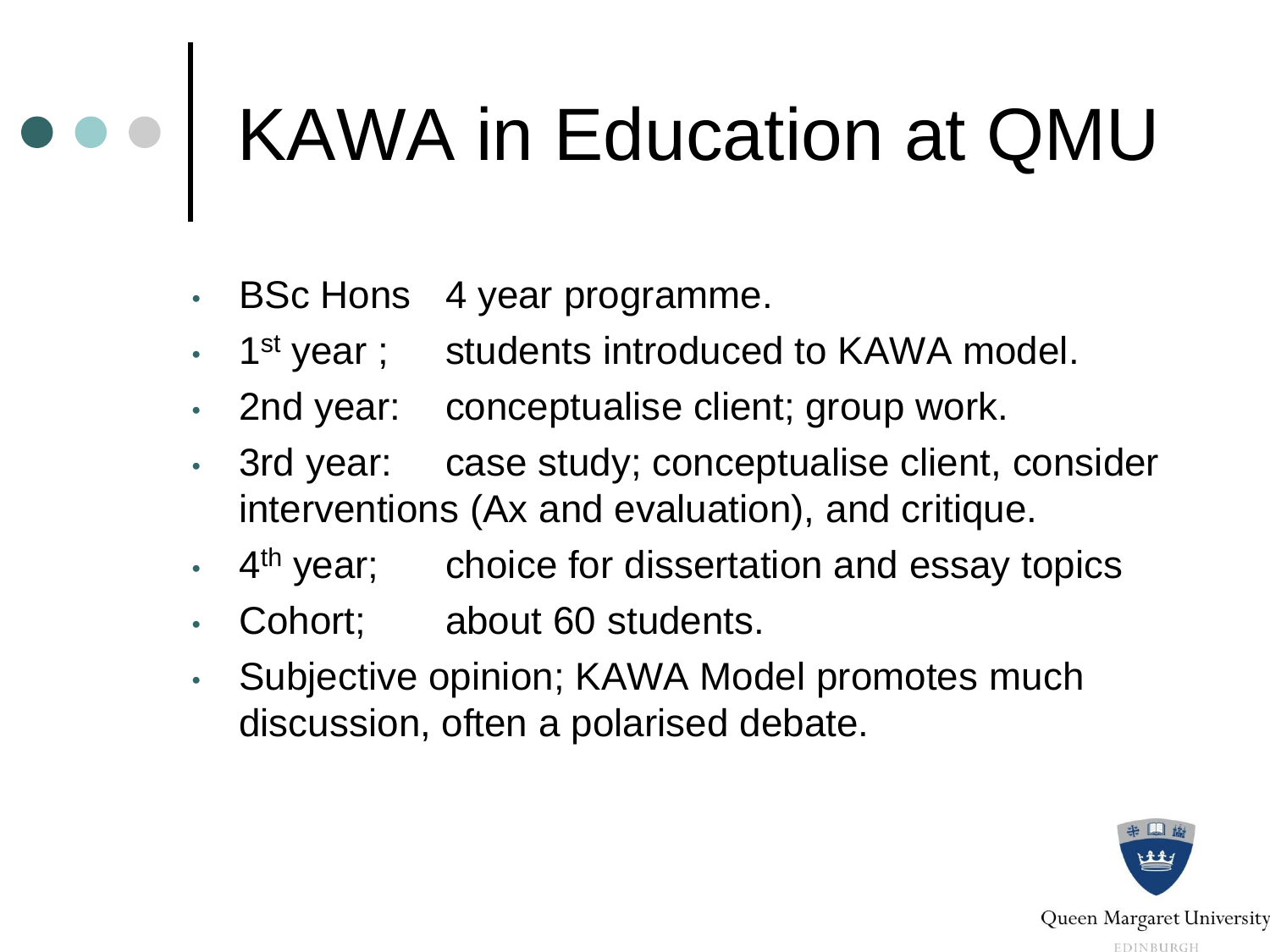# KAWA in Education at QMU

- BSc Hons 4 year programme.
- 1<sup>st</sup> year; students introduced to KAWA model.
- 2nd year: conceptualise client; group work.
- 3rd year: case study; conceptualise client, consider interventions (Ax and evaluation), and critique.
- 4<sup>th</sup> year; choice for dissertation and essay topics
- Cohort; about 60 students.
- Subjective opinion; KAWA Model promotes much discussion, often a polarised debate.

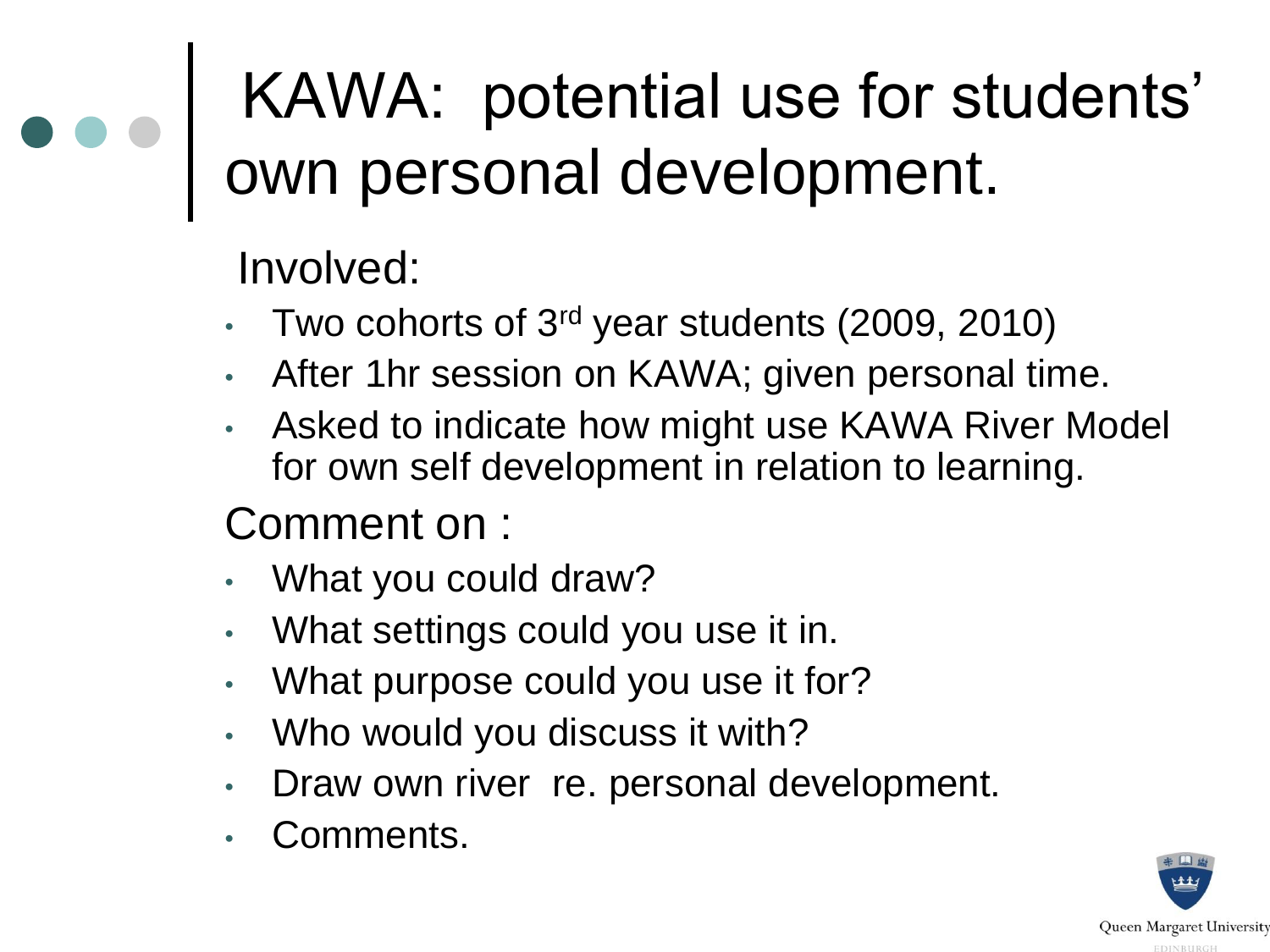### KAWA: potential use for students' own personal development.

Involved:

- Two cohorts of 3<sup>rd</sup> year students (2009, 2010)
- After 1hr session on KAWA; given personal time.
- Asked to indicate how might use KAWA River Model for own self development in relation to learning.

Comment on :

- What you could draw?
- What settings could you use it in.
- What purpose could you use it for?
- Who would you discuss it with?
- Draw own river re. personal development.
- Comments.

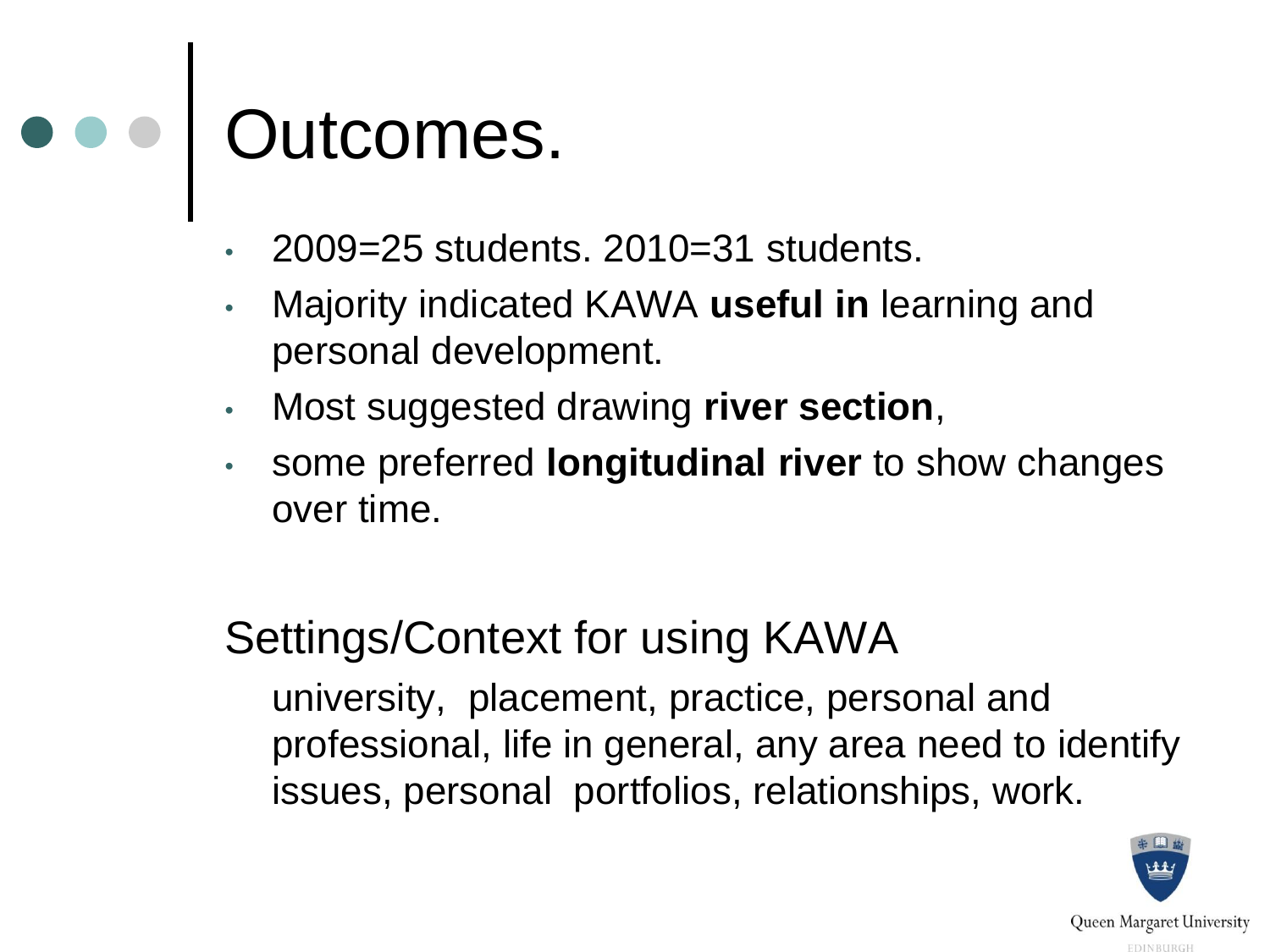# o o | Outcomes.

- 2009=25 students. 2010=31 students.
- Majority indicated KAWA **useful in** learning and personal development.
- Most suggested drawing **river section**,
- some preferred **longitudinal river** to show changes over time.

### Settings/Context for using KAWA

university, placement, practice, personal and professional, life in general, any area need to identify issues, personal portfolios, relationships, work.

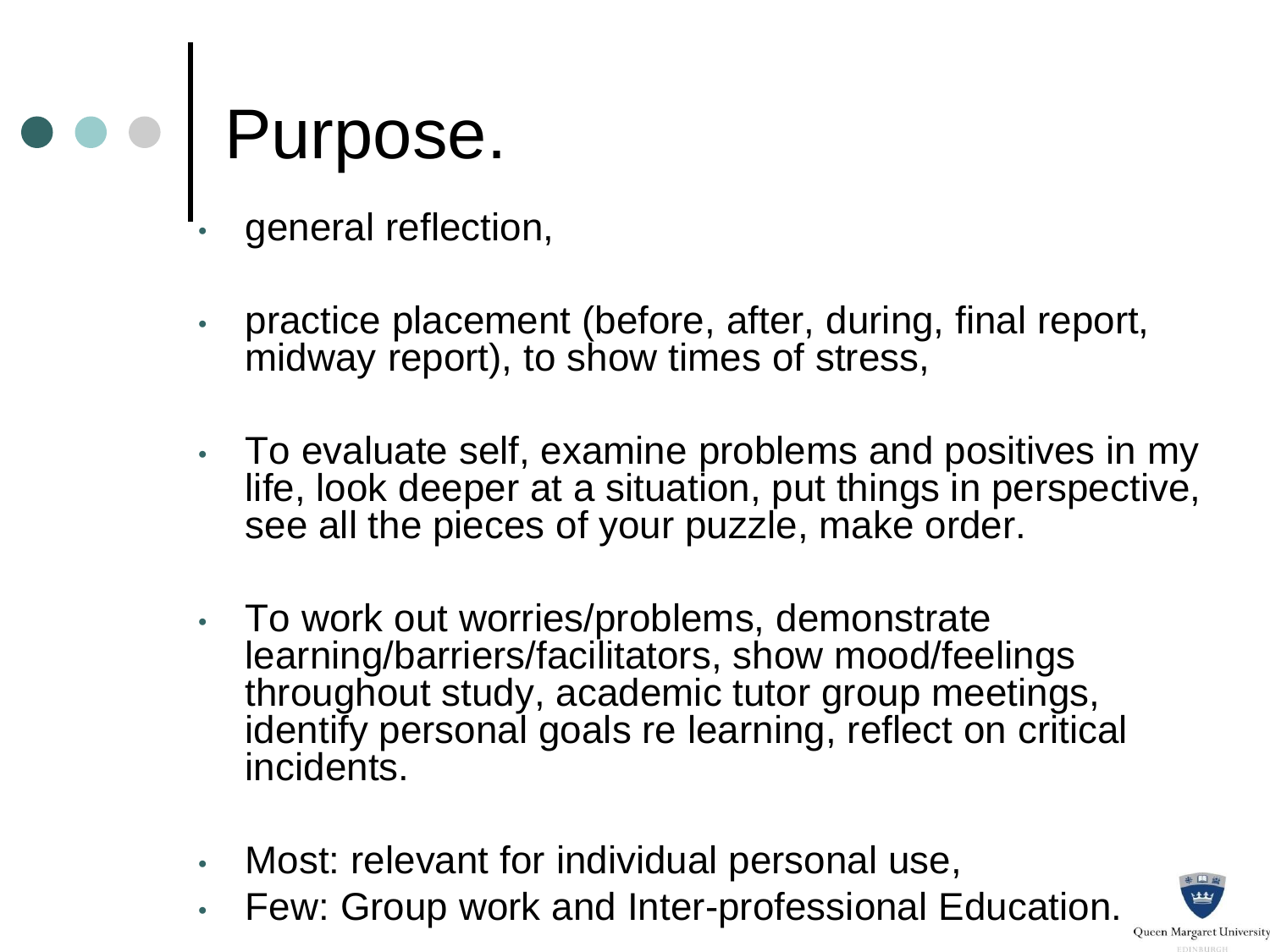## Purpose.

- general reflection,
- practice placement (before, after, during, final report, midway report), to show times of stress,
- To evaluate self, examine problems and positives in my life, look deeper at a situation, put things in perspective, see all the pieces of your puzzle, make order.
- To work out worries/problems, demonstrate learning/barriers/facilitators, show mood/feelings throughout study, academic tutor group meetings, identify personal goals re learning, reflect on critical incidents.
- Most: relevant for individual personal use,
- Few: Group work and Inter-professional Education.

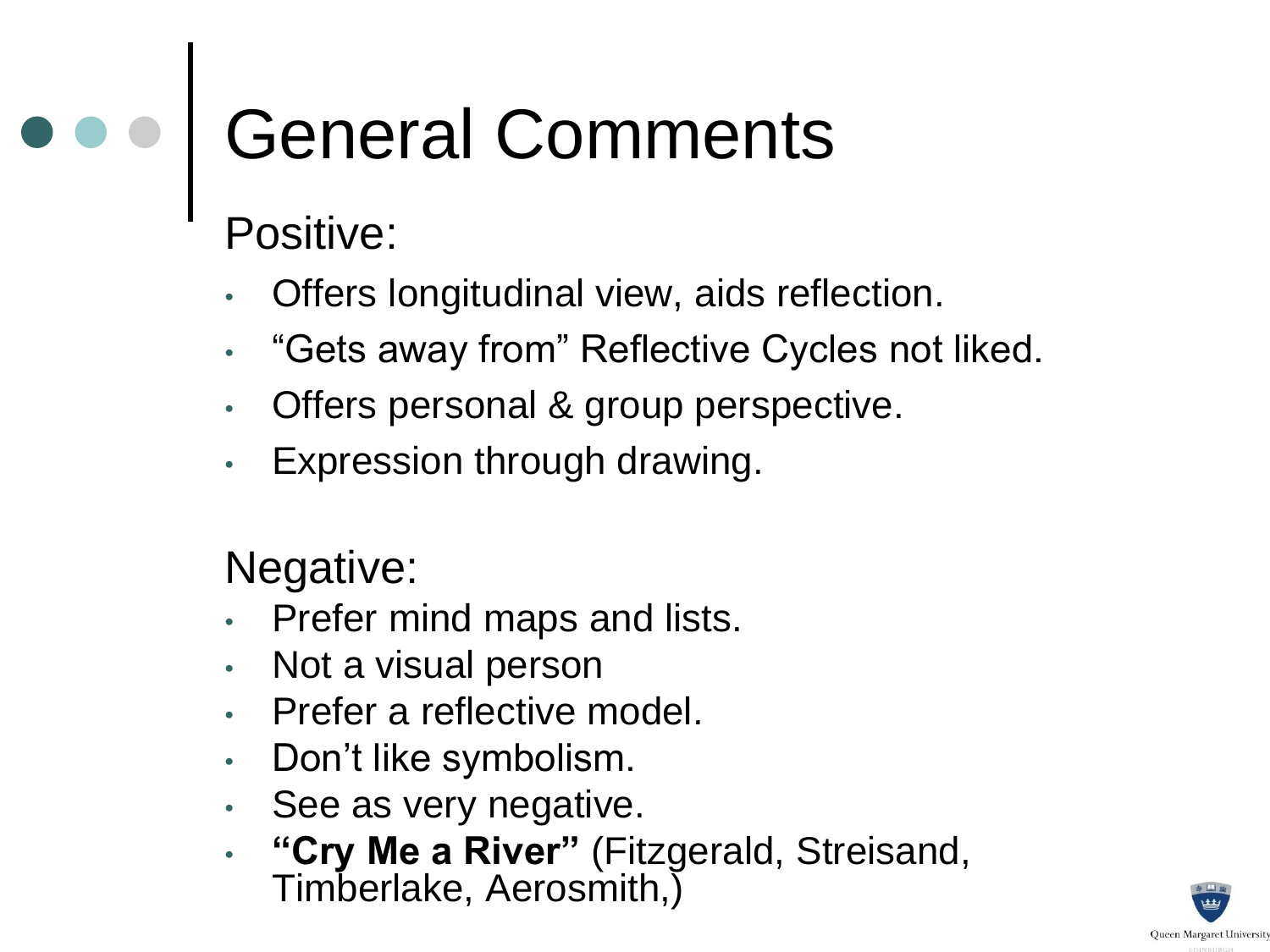## e e | General Comments

Positive:

- Offers longitudinal view, aids reflection.
- "Gets away from" Reflective Cycles not liked.
- Offers personal & group perspective.
- Expression through drawing.

Negative:

- Prefer mind maps and lists.
- Not a visual person
- Prefer a reflective model.
- Don't like symbolism.
- See as very negative.
- **"Cry Me a River"** (Fitzgerald, Streisand, Timberlake, Aerosmith,)

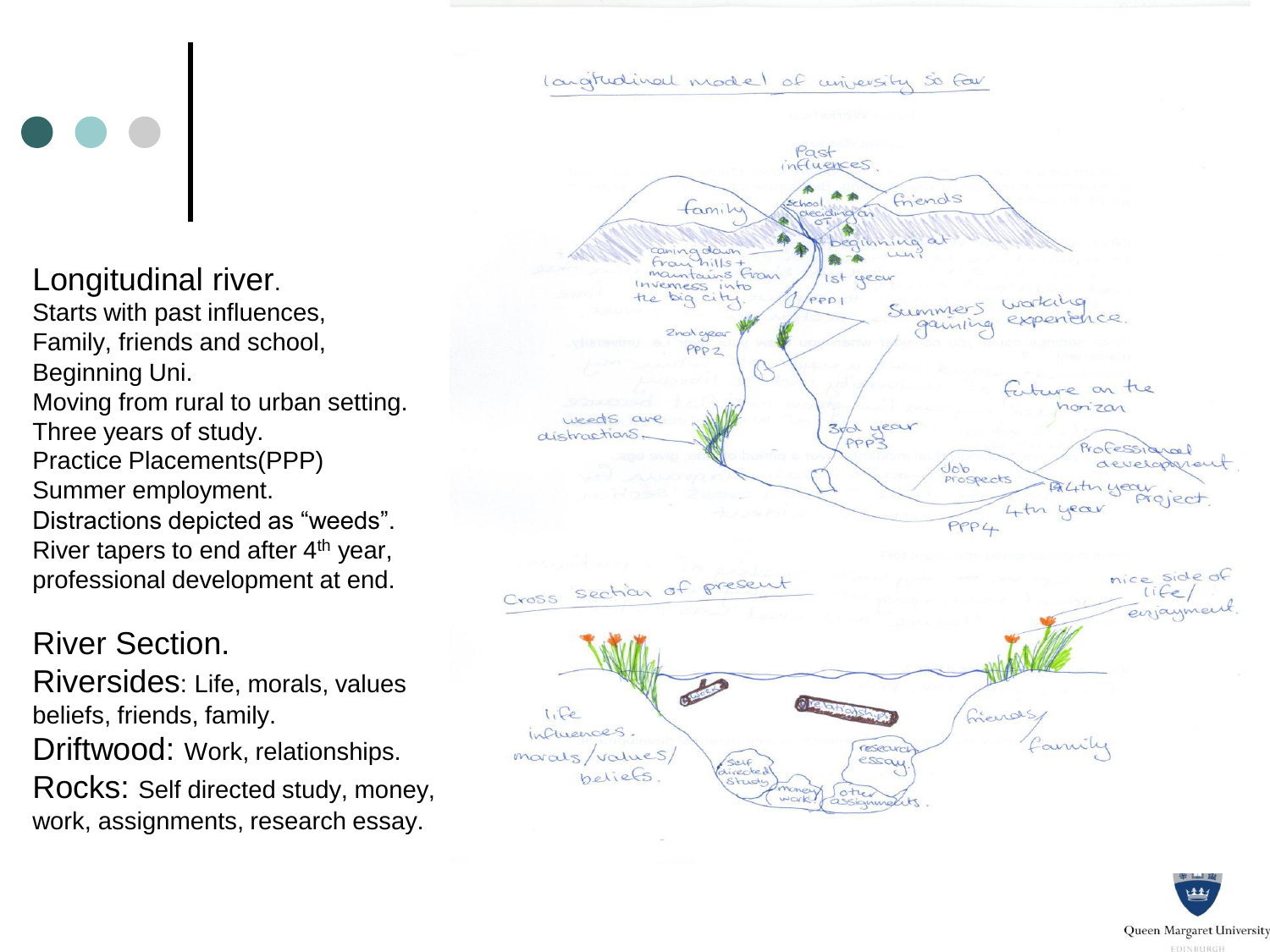#### Longitudinal river. Starts with past influences, Family, friends and school, Beginning Uni. Moving from rural to urban setting. Three years of study. Practice Placements(PPP) Summer employment. Distractions depicted as "weeds". River tapers to end after 4<sup>th</sup> year, professional development at end.

#### River Section.

Riversides: Life, morals, values beliefs, friends, family. Driftwood: Work, relationships.

Rocks: Self directed study, money, work, assignments, research essay.



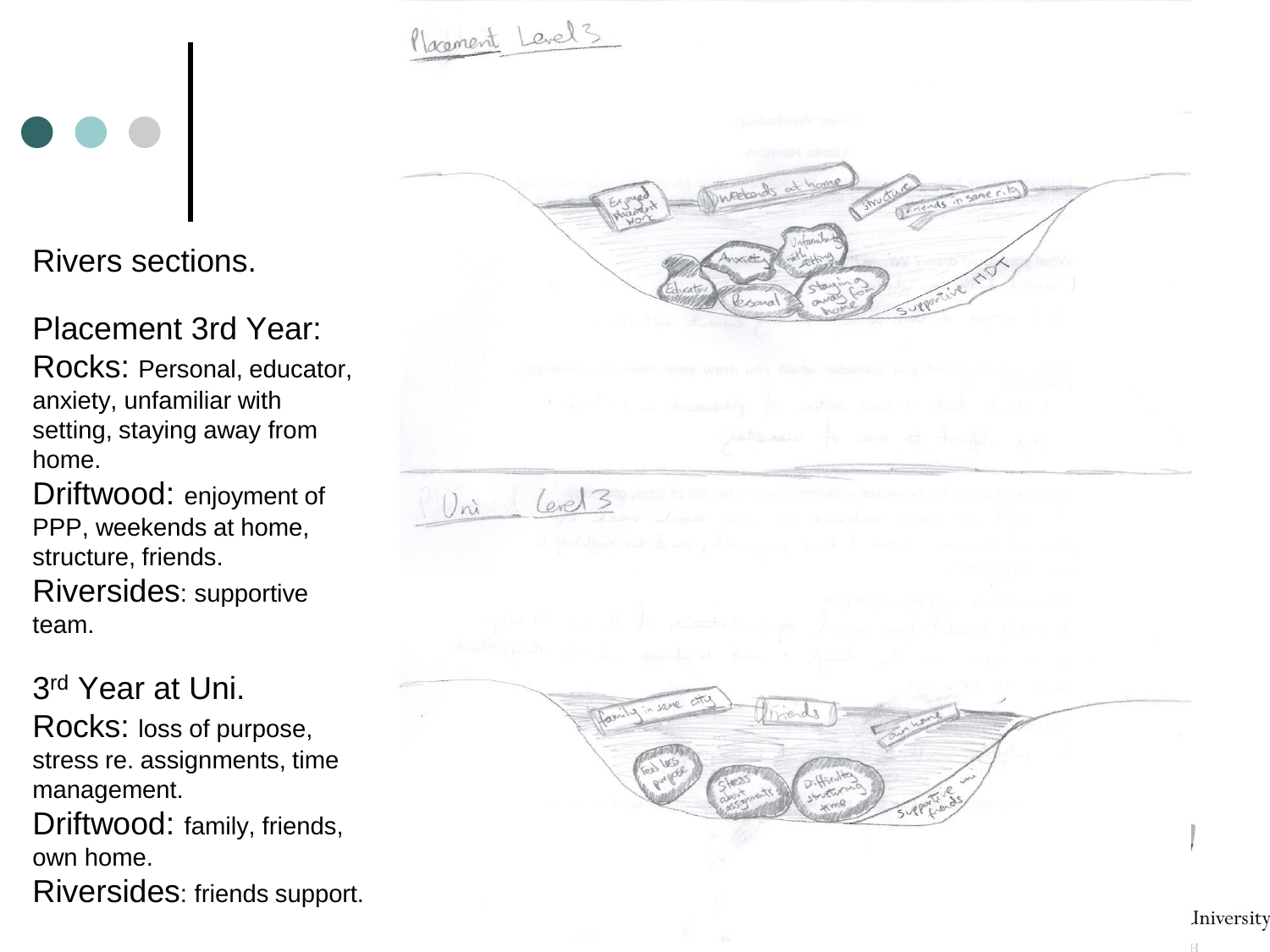### Placement Level 3

Rivers sections.

Placement 3rd Year:

Rocks: Personal, educator, anxiety, unfamiliar with setting, staying away from home.

Driftwood: enjoyment of PPP, weekends at home, structure, friends. Riversides: supportive team.

3<sup>rd</sup> Year at Uni.

Rocks: loss of purpose, stress re. assignments, time management. Driftwood: family, friends,

own home.

Riversides: friends support.



H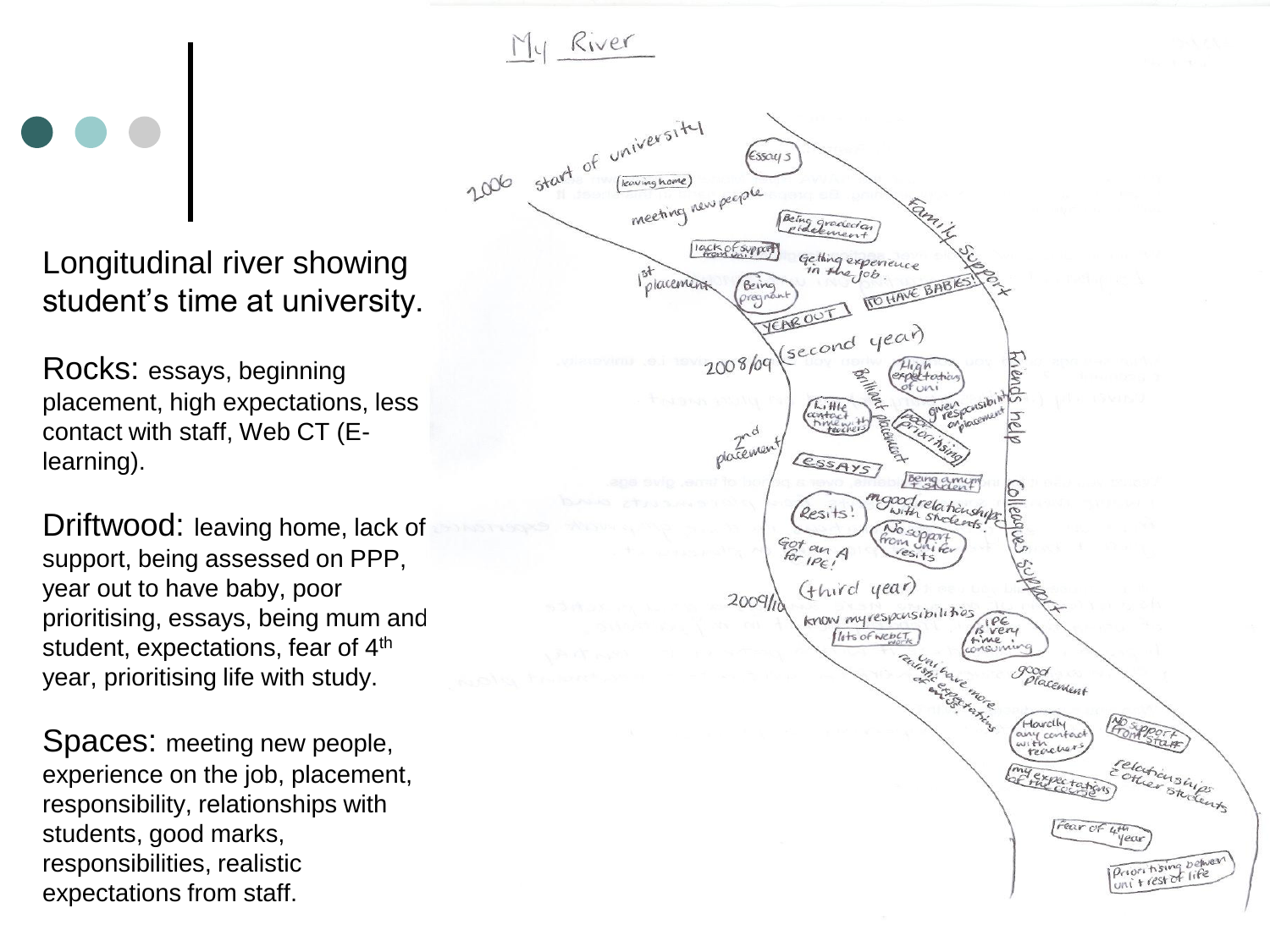

Longitudinal river showing student's time at university.

Rocks: essays, beginning placement, high expectations, less contact with staff, Web CT (Elearning).

Driftwood: leaving home, lack of support, being assessed on PPP, year out to have baby, poor prioritising, essays, being mum and student, expectations, fear of 4<sup>th</sup> year, prioritising life with study.

Spaces: meeting new people, experience on the job, placement, responsibility, relationships with students, good marks, responsibilities, realistic expectations from staff.